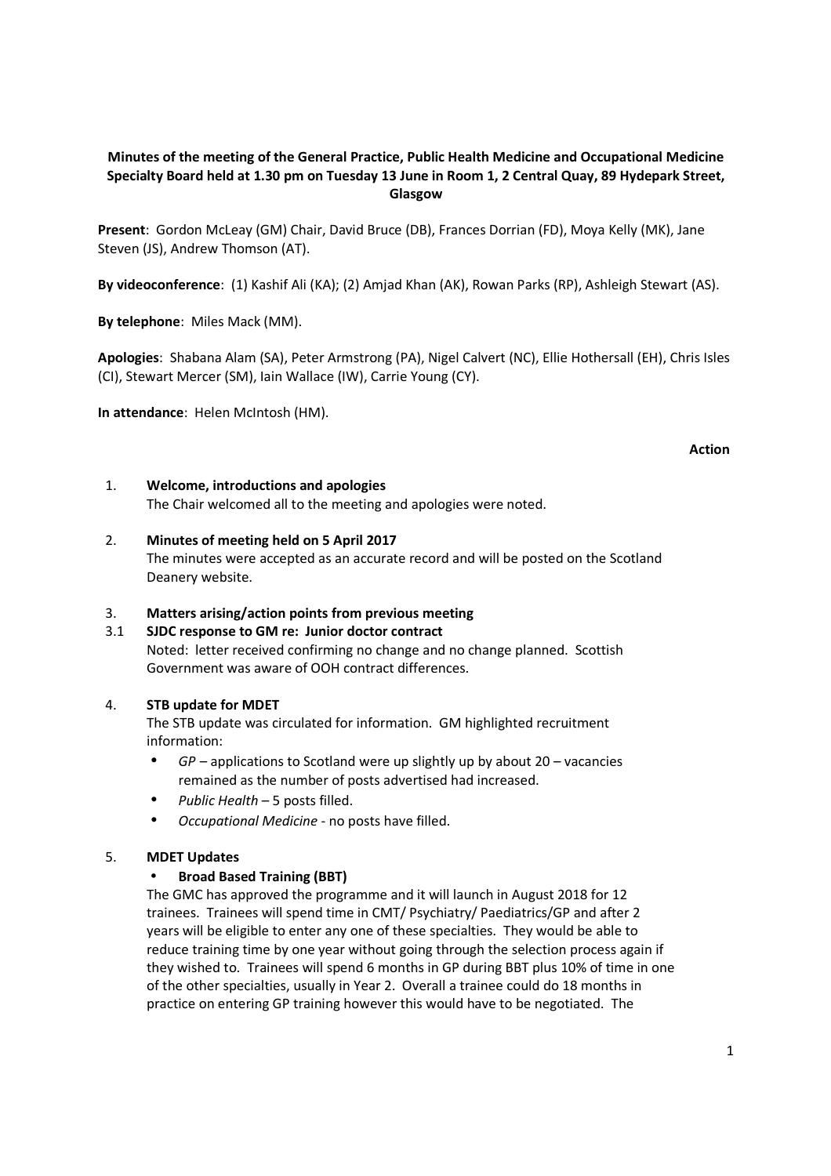# **Minutes of the meeting of the General Practice, Public Health Medicine and Occupational Medicine Specialty Board held at 1.30 pm on Tuesday 13 June in Room 1, 2 Central Quay, 89 Hydepark Street, Glasgow**

**Present**: Gordon McLeay (GM) Chair, David Bruce (DB), Frances Dorrian (FD), Moya Kelly (MK), Jane Steven (JS), Andrew Thomson (AT).

**By videoconference**: (1) Kashif Ali (KA); (2) Amjad Khan (AK), Rowan Parks (RP), Ashleigh Stewart (AS).

**By telephone**: Miles Mack (MM).

**Apologies**: Shabana Alam (SA), Peter Armstrong (PA), Nigel Calvert (NC), Ellie Hothersall (EH), Chris Isles (CI), Stewart Mercer (SM), Iain Wallace (IW), Carrie Young (CY).

**In attendance**: Helen McIntosh (HM).

### **Action**

## 1. **Welcome, introductions and apologies**

The Chair welcomed all to the meeting and apologies were noted.

## 2. **Minutes of meeting held on 5 April 2017**

The minutes were accepted as an accurate record and will be posted on the Scotland Deanery website.

# 3. **Matters arising/action points from previous meeting**

# 3.1 **SJDC response to GM re: Junior doctor contract**

 Noted: letter received confirming no change and no change planned. Scottish Government was aware of OOH contract differences.

#### 4. **STB update for MDET**

The STB update was circulated for information. GM highlighted recruitment information:

- *GP* applications to Scotland were up slightly up by about 20 vacancies remained as the number of posts advertised had increased.
- *Public Health* 5 posts filled.
- *Occupational Medicine*  no posts have filled.

#### 5. **MDET Updates**

### • **Broad Based Training (BBT)**

The GMC has approved the programme and it will launch in August 2018 for 12 trainees. Trainees will spend time in CMT/ Psychiatry/ Paediatrics/GP and after 2 years will be eligible to enter any one of these specialties. They would be able to reduce training time by one year without going through the selection process again if they wished to. Trainees will spend 6 months in GP during BBT plus 10% of time in one of the other specialties, usually in Year 2. Overall a trainee could do 18 months in practice on entering GP training however this would have to be negotiated. The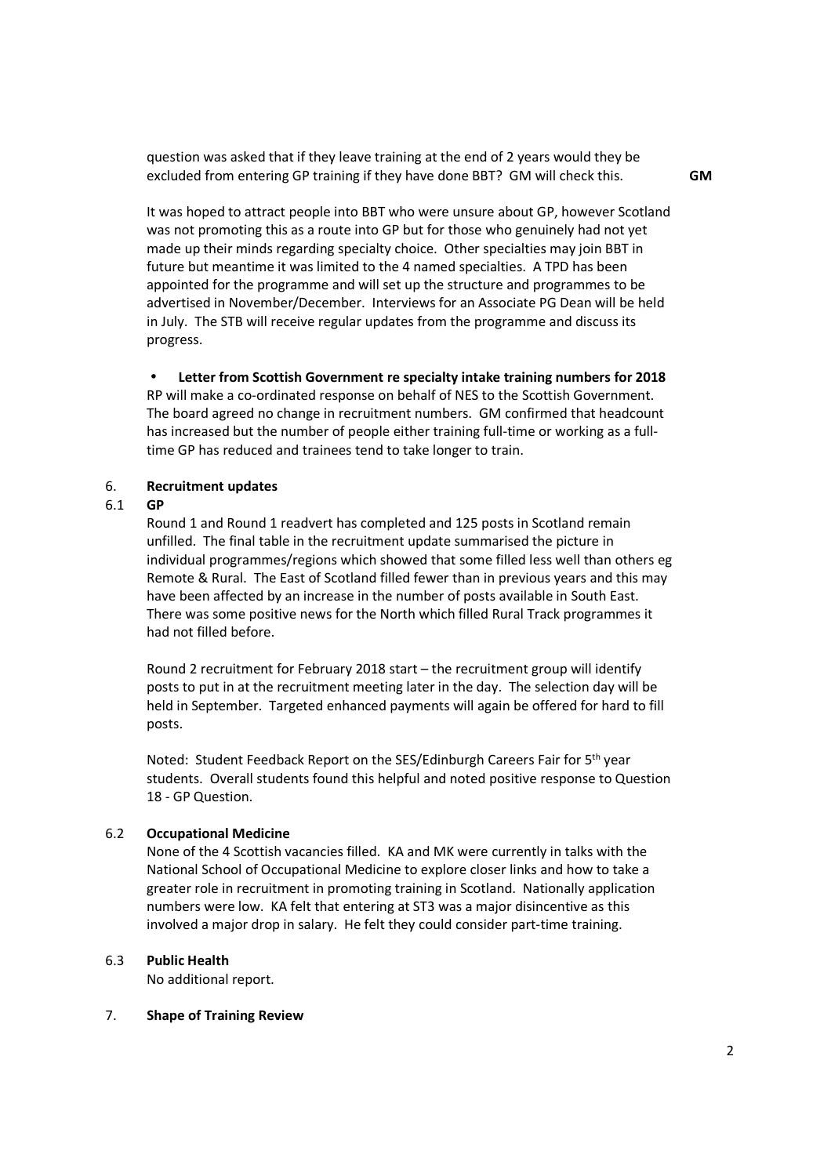question was asked that if they leave training at the end of 2 years would they be excluded from entering GP training if they have done BBT? GM will check this. **GM** 

 It was hoped to attract people into BBT who were unsure about GP, however Scotland was not promoting this as a route into GP but for those who genuinely had not yet made up their minds regarding specialty choice. Other specialties may join BBT in future but meantime it was limited to the 4 named specialties. A TPD has been appointed for the programme and will set up the structure and programmes to be advertised in November/December. Interviews for an Associate PG Dean will be held in July. The STB will receive regular updates from the programme and discuss its progress.

## • **Letter from Scottish Government re specialty intake training numbers for 2018**

RP will make a co-ordinated response on behalf of NES to the Scottish Government. The board agreed no change in recruitment numbers. GM confirmed that headcount has increased but the number of people either training full-time or working as a fulltime GP has reduced and trainees tend to take longer to train.

#### 6. **Recruitment updates**

#### 6.1 **GP**

 Round 1 and Round 1 readvert has completed and 125 posts in Scotland remain unfilled. The final table in the recruitment update summarised the picture in individual programmes/regions which showed that some filled less well than others eg Remote & Rural. The East of Scotland filled fewer than in previous years and this may have been affected by an increase in the number of posts available in South East. There was some positive news for the North which filled Rural Track programmes it had not filled before.

Round 2 recruitment for February 2018 start – the recruitment group will identify posts to put in at the recruitment meeting later in the day. The selection day will be held in September. Targeted enhanced payments will again be offered for hard to fill posts.

Noted: Student Feedback Report on the SES/Edinburgh Careers Fair for 5th year students. Overall students found this helpful and noted positive response to Question 18 - GP Question.

#### 6.2 **Occupational Medicine**

None of the 4 Scottish vacancies filled. KA and MK were currently in talks with the National School of Occupational Medicine to explore closer links and how to take a greater role in recruitment in promoting training in Scotland. Nationally application numbers were low. KA felt that entering at ST3 was a major disincentive as this involved a major drop in salary. He felt they could consider part-time training.

#### 6.3 **Public Health**

No additional report.

#### 7. **Shape of Training Review**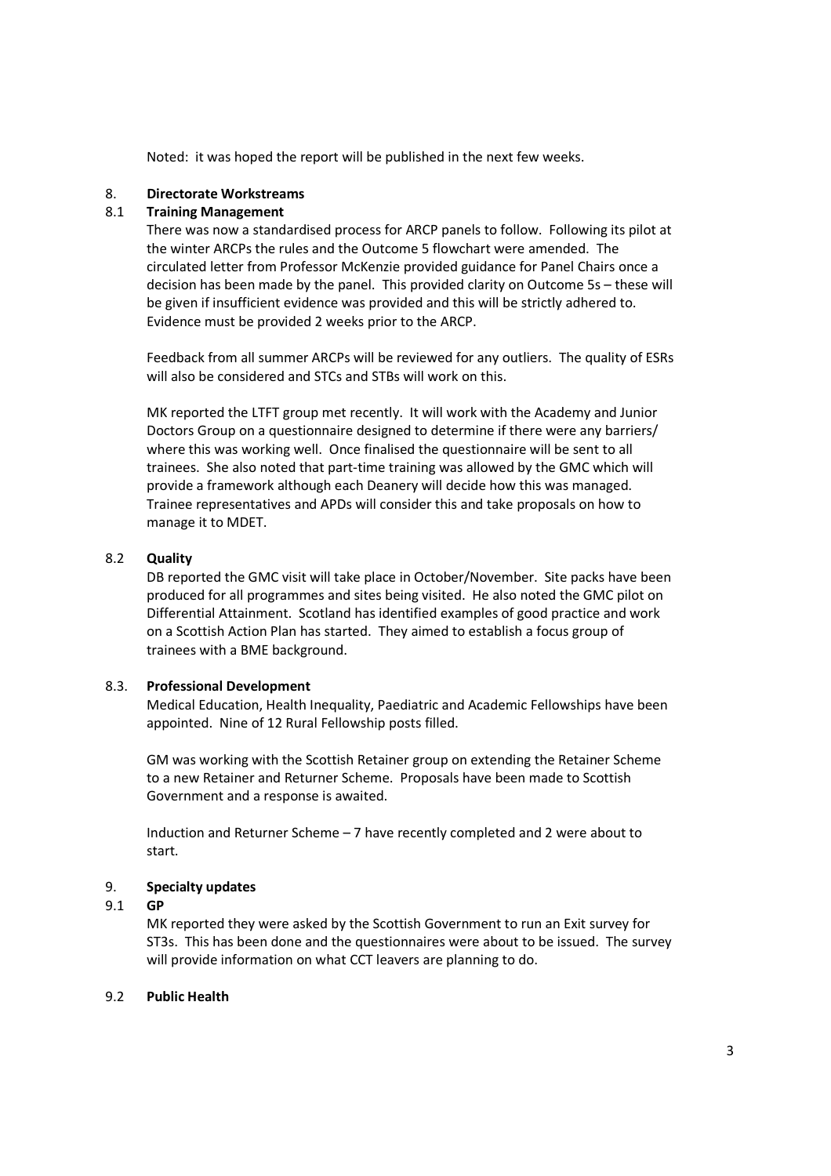Noted: it was hoped the report will be published in the next few weeks.

## 8. **Directorate Workstreams**

## 8.1 **Training Management**

There was now a standardised process for ARCP panels to follow. Following its pilot at the winter ARCPs the rules and the Outcome 5 flowchart were amended. The circulated letter from Professor McKenzie provided guidance for Panel Chairs once a decision has been made by the panel. This provided clarity on Outcome 5s – these will be given if insufficient evidence was provided and this will be strictly adhered to. Evidence must be provided 2 weeks prior to the ARCP.

Feedback from all summer ARCPs will be reviewed for any outliers. The quality of ESRs will also be considered and STCs and STBs will work on this.

MK reported the LTFT group met recently. It will work with the Academy and Junior Doctors Group on a questionnaire designed to determine if there were any barriers/ where this was working well. Once finalised the questionnaire will be sent to all trainees. She also noted that part-time training was allowed by the GMC which will provide a framework although each Deanery will decide how this was managed. Trainee representatives and APDs will consider this and take proposals on how to manage it to MDET.

## 8.2 **Quality**

 DB reported the GMC visit will take place in October/November. Site packs have been produced for all programmes and sites being visited. He also noted the GMC pilot on Differential Attainment. Scotland has identified examples of good practice and work on a Scottish Action Plan has started. They aimed to establish a focus group of trainees with a BME background.

#### 8.3. **Professional Development**

Medical Education, Health Inequality, Paediatric and Academic Fellowships have been appointed. Nine of 12 Rural Fellowship posts filled.

GM was working with the Scottish Retainer group on extending the Retainer Scheme to a new Retainer and Returner Scheme. Proposals have been made to Scottish Government and a response is awaited.

Induction and Returner Scheme – 7 have recently completed and 2 were about to start.

# 9. **Specialty updates**

#### 9.1 **GP**

MK reported they were asked by the Scottish Government to run an Exit survey for ST3s. This has been done and the questionnaires were about to be issued. The survey will provide information on what CCT leavers are planning to do.

#### 9.2 **Public Health**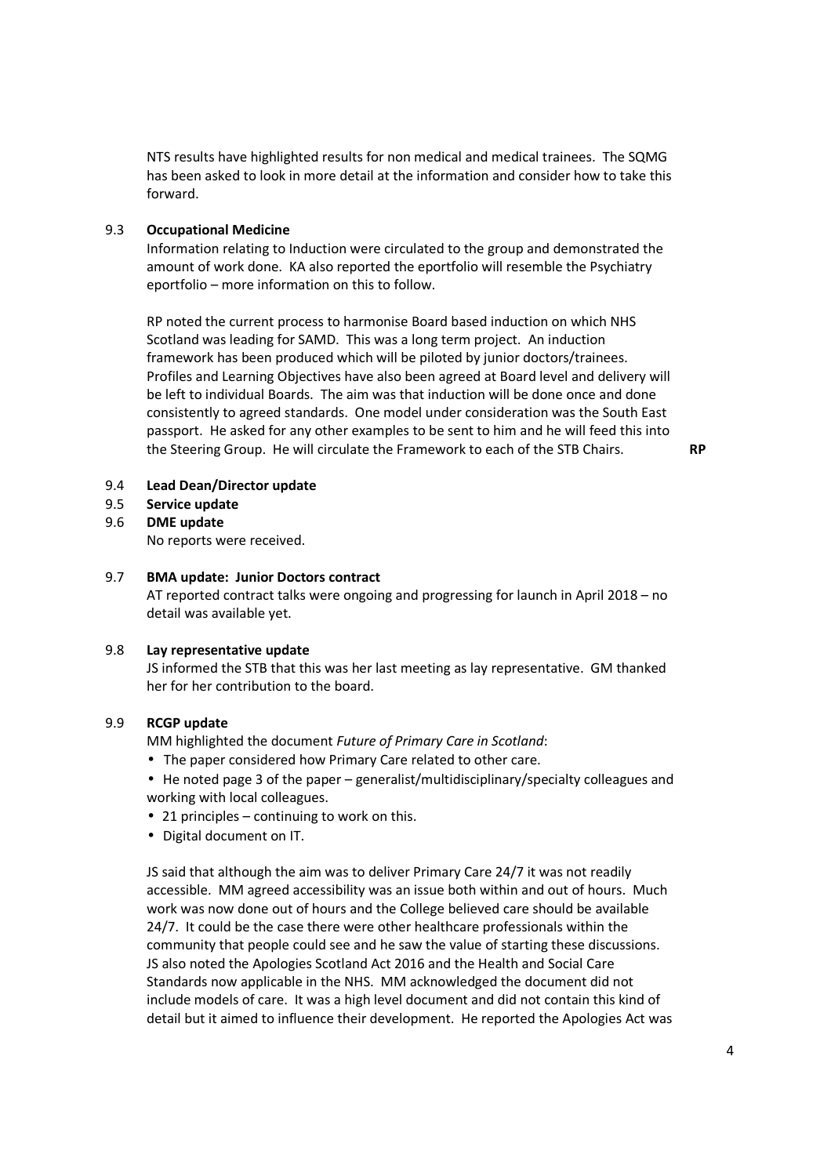NTS results have highlighted results for non medical and medical trainees. The SQMG has been asked to look in more detail at the information and consider how to take this forward.

## 9.3 **Occupational Medicine**

 Information relating to Induction were circulated to the group and demonstrated the amount of work done. KA also reported the eportfolio will resemble the Psychiatry eportfolio – more information on this to follow.

RP noted the current process to harmonise Board based induction on which NHS Scotland was leading for SAMD. This was a long term project. An induction framework has been produced which will be piloted by junior doctors/trainees. Profiles and Learning Objectives have also been agreed at Board level and delivery will be left to individual Boards. The aim was that induction will be done once and done consistently to agreed standards. One model under consideration was the South East passport. He asked for any other examples to be sent to him and he will feed this into the Steering Group. He will circulate the Framework to each of the STB Chairs. **RP** 

#### 9.4 **Lead Dean/Director update**

9.5 **Service update** 

#### 9.6 **DME update**

No reports were received.

#### 9.7 **BMA update: Junior Doctors contract**

AT reported contract talks were ongoing and progressing for launch in April 2018 – no detail was available yet.

## 9.8 **Lay representative update**

 JS informed the STB that this was her last meeting as lay representative. GM thanked her for her contribution to the board.

## 9.9 **RCGP update**

MM highlighted the document *Future of Primary Care in Scotland*:

- The paper considered how Primary Care related to other care.
- He noted page 3 of the paper generalist/multidisciplinary/specialty colleagues and working with local colleagues.
- 21 principles continuing to work on this.
- Digital document on IT.

JS said that although the aim was to deliver Primary Care 24/7 it was not readily accessible. MM agreed accessibility was an issue both within and out of hours. Much work was now done out of hours and the College believed care should be available 24/7. It could be the case there were other healthcare professionals within the community that people could see and he saw the value of starting these discussions. JS also noted the Apologies Scotland Act 2016 and the Health and Social Care Standards now applicable in the NHS. MM acknowledged the document did not include models of care. It was a high level document and did not contain this kind of detail but it aimed to influence their development. He reported the Apologies Act was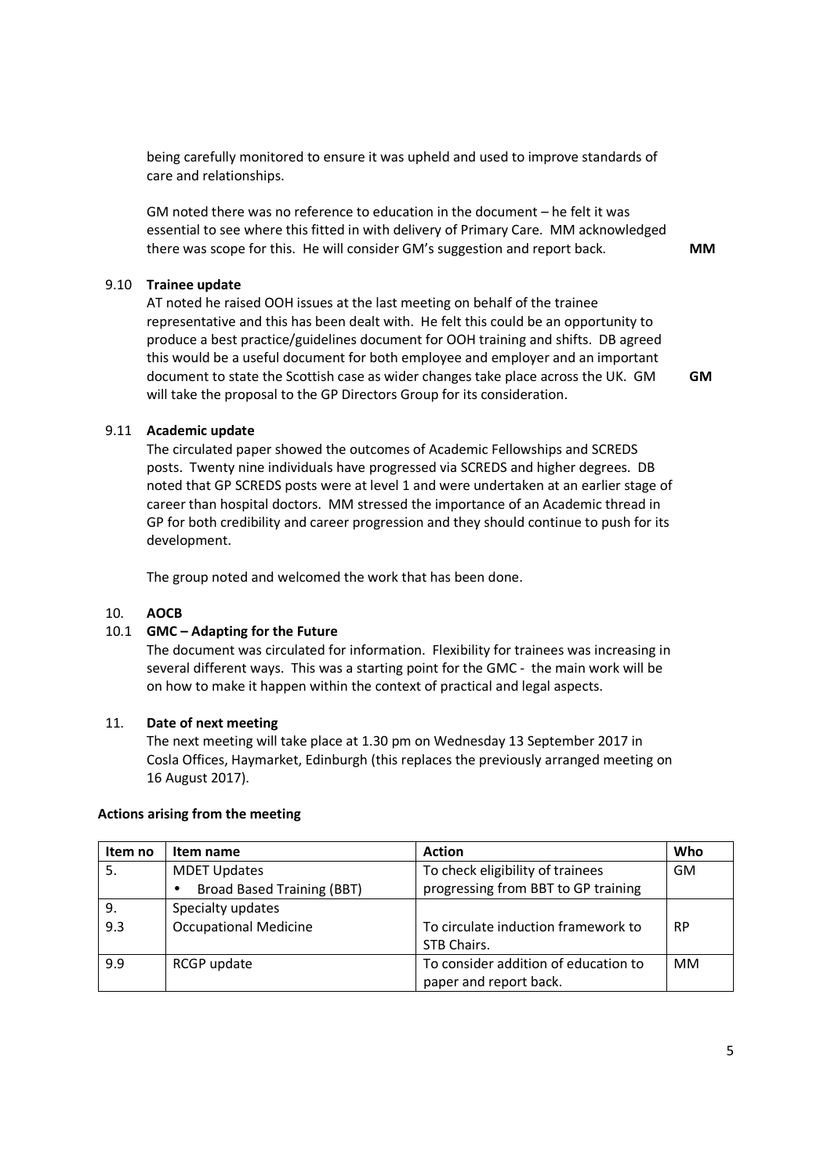being carefully monitored to ensure it was upheld and used to improve standards of care and relationships.

GM noted there was no reference to education in the document – he felt it was essential to see where this fitted in with delivery of Primary Care. MM acknowledged there was scope for this. He will consider GM's suggestion and report back. **MM** 

#### 9.10 **Trainee update**

 AT noted he raised OOH issues at the last meeting on behalf of the trainee representative and this has been dealt with. He felt this could be an opportunity to produce a best practice/guidelines document for OOH training and shifts. DB agreed this would be a useful document for both employee and employer and an important document to state the Scottish case as wider changes take place across the UK. GM will take the proposal to the GP Directors Group for its consideration.

**GM** 

#### 9.11 **Academic update**

 The circulated paper showed the outcomes of Academic Fellowships and SCREDS posts. Twenty nine individuals have progressed via SCREDS and higher degrees. DB noted that GP SCREDS posts were at level 1 and were undertaken at an earlier stage of career than hospital doctors. MM stressed the importance of an Academic thread in GP for both credibility and career progression and they should continue to push for its development.

The group noted and welcomed the work that has been done.

#### 10. **AOCB**

#### 10.1 **GMC – Adapting for the Future**

 The document was circulated for information. Flexibility for trainees was increasing in several different ways. This was a starting point for the GMC - the main work will be on how to make it happen within the context of practical and legal aspects.

#### 11. **Date of next meeting**

The next meeting will take place at 1.30 pm on Wednesday 13 September 2017 in Cosla Offices, Haymarket, Edinburgh (this replaces the previously arranged meeting on 16 August 2017).

#### **Actions arising from the meeting**

| Item no | Item name                         | <b>Action</b>                        | Who       |
|---------|-----------------------------------|--------------------------------------|-----------|
|         | <b>MDET Updates</b>               | To check eligibility of trainees     | <b>GM</b> |
|         | <b>Broad Based Training (BBT)</b> | progressing from BBT to GP training  |           |
| 9.      | Specialty updates                 |                                      |           |
| 9.3     | <b>Occupational Medicine</b>      | To circulate induction framework to  | <b>RP</b> |
|         |                                   | STB Chairs.                          |           |
| 9.9     | RCGP update                       | To consider addition of education to | <b>MM</b> |
|         |                                   | paper and report back.               |           |